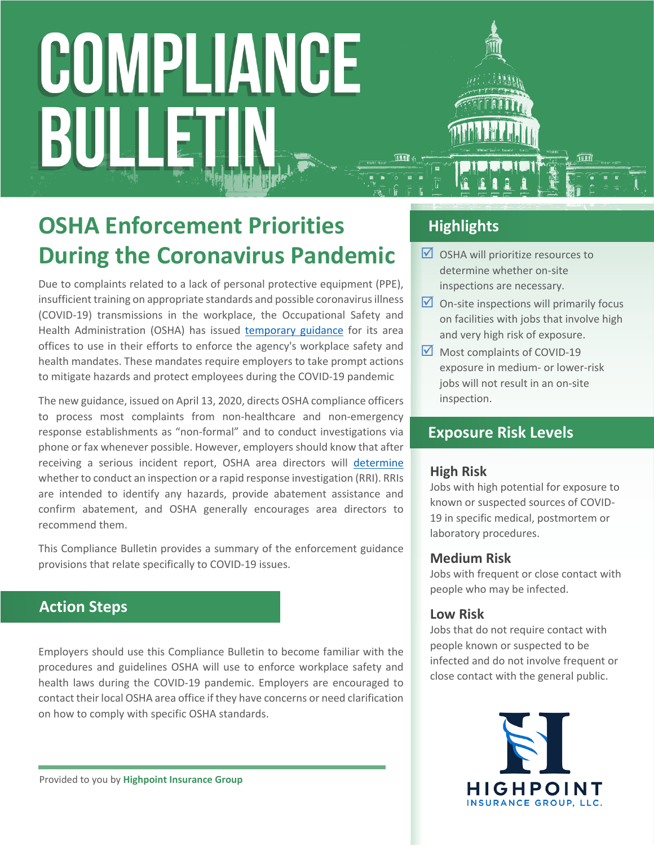# **OSHA Enforcement Priorities During the Coronavirus Pandemic**

Due to complaints related to a lack of personal protective equipment (PPE), insufficient training on appropriate standards and possible coronavirus illness (COVID-19) transmissions in the workplace, the Occupational Safety and Health Administration (OSHA) has issued [temporary guidance](https://www.osha.gov/memos/2020-04-13/interim-enforcement-response-plan-coronavirus-disease-2019-covid-19) for its area offices to use in their efforts to enforce the agency's workplace safety and health mandates. These mandates require employers to take prompt actions to mitigate hazards and protect employees during the COVID-19 pandemic

The new guidance, issued on April 13, 2020, directs OSHA compliance officers to process most complaints from non-healthcare and non-emergency response establishments as "non-formal" and to conduct investigations via phone or fax whenever possible. However, employers should know that after receiving a serious incident report, OSHA area directors will [determine](https://www.osha.gov/memos/2016-03-04/revised-interim-enforcement-procedures-reporting-requirements-under-29-cfr-190439) whether to conduct an inspection or a rapid response investigation (RRI). RRIs are intended to identify any hazards, provide abatement assistance and confirm abatement, and OSHA generally encourages area directors to recommend them.

This Compliance Bulletin provides a summary of the enforcement guidance provisions that relate specifically to COVID-19 issues.

### **Action Steps**

Employers should use this Compliance Bulletin to become familiar with the procedures and guidelines OSHA will use to enforce workplace safety and health laws during the COVID-19 pandemic. Employers are encouraged to contact their local OSHA area office if they have concerns or need clarification on how to comply with specific OSHA standards.

Provided to you by **Highpoint Insurance Group**

### **Highlights**

- $\Box$  OSHA will prioritize resources to determine whether on-site inspections are necessary.
- $\Box$  On-site inspections will primarily focus on facilities with jobs that involve high and very high risk of exposure.
- Most complaints of COVID-19 exposure in medium- or lower-risk jobs will not result in an on-site inspection.

#### **Exposure Risk Levels**

#### **High Risk**

Jobs with high potential for exposure to known or suspected sources of COVID-19 in specific medical, postmortem or laboratory procedures.

#### **Medium Risk**

Jobs with frequent or close contact with people who may be infected.

#### **Low Risk**

Jobs that do not require contact with people known or suspected to be infected and do not involve frequent or close contact with the general public.

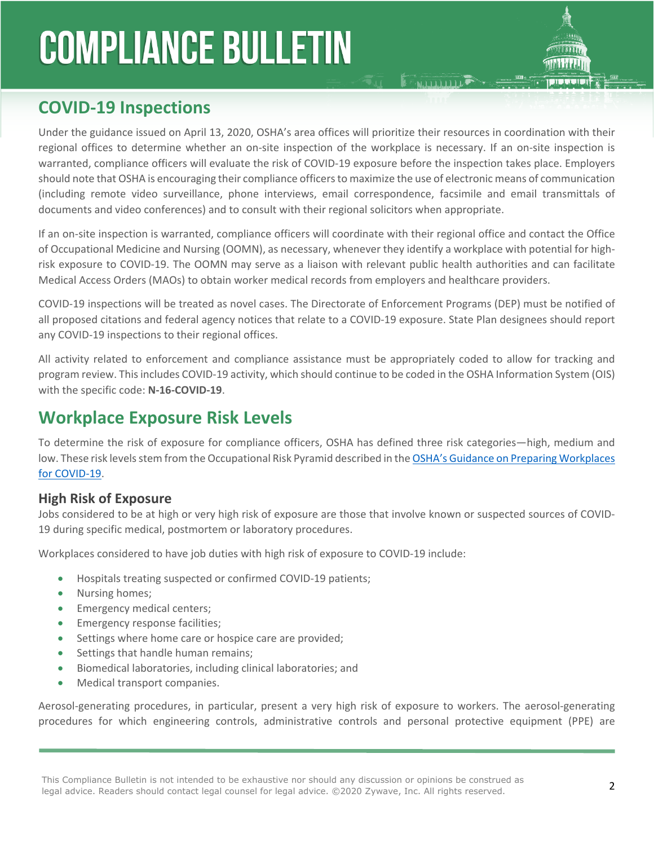# **COVID-19 Inspections**

Under the guidance issued on April 13, 2020, OSHA's area offices will prioritize their resources in coordination with their regional offices to determine whether an on-site inspection of the workplace is necessary. If an on-site inspection is warranted, compliance officers will evaluate the risk of COVID-19 exposure before the inspection takes place. Employers should note that OSHA is encouraging their compliance officers to maximize the use of electronic means of communication (including remote video surveillance, phone interviews, email correspondence, facsimile and email transmittals of documents and video conferences) and to consult with their regional solicitors when appropriate.

**E FALLID LIDE** 

If an on-site inspection is warranted, compliance officers will coordinate with their regional office and contact the Office of Occupational Medicine and Nursing (OOMN), as necessary, whenever they identify a workplace with potential for highrisk exposure to COVID-19. The OOMN may serve as a liaison with relevant public health authorities and can facilitate Medical Access Orders (MAOs) to obtain worker medical records from employers and healthcare providers.

COVID-19 inspections will be treated as novel cases. The Directorate of Enforcement Programs (DEP) must be notified of all proposed citations and federal agency notices that relate to a COVID-19 exposure. State Plan designees should report any COVID-19 inspections to their regional offices.

All activity related to enforcement and compliance assistance must be appropriately coded to allow for tracking and program review. This includes COVID-19 activity, which should continue to be coded in the OSHA Information System (OIS) with the specific code: **N-16-COVID-19**.

# **Workplace Exposure Risk Levels**

To determine the risk of exposure for compliance officers, OSHA has defined three risk categories—high, medium and low. These risk levels stem from the Occupational Risk Pyramid described in the OSHA's Guidance on Preparing Workplaces [for COVID-19.](http://www.osha.gov/Publications/OSHA3990.pdf)

#### **High Risk of Exposure**

Jobs considered to be at high or very high risk of exposure are those that involve known or suspected sources of COVID-19 during specific medical, postmortem or laboratory procedures.

Workplaces considered to have job duties with high risk of exposure to COVID-19 include:

- Hospitals treating suspected or confirmed COVID-19 patients;
- Nursing homes;
- Emergency medical centers;
- **•** Emergency response facilities;
- Settings where home care or hospice care are provided;
- Settings that handle human remains;
- Biomedical laboratories, including clinical laboratories; and
- Medical transport companies.

Aerosol-generating procedures, in particular, present a very high risk of exposure to workers. The aerosol-generating procedures for which engineering controls, administrative controls and personal protective equipment (PPE) are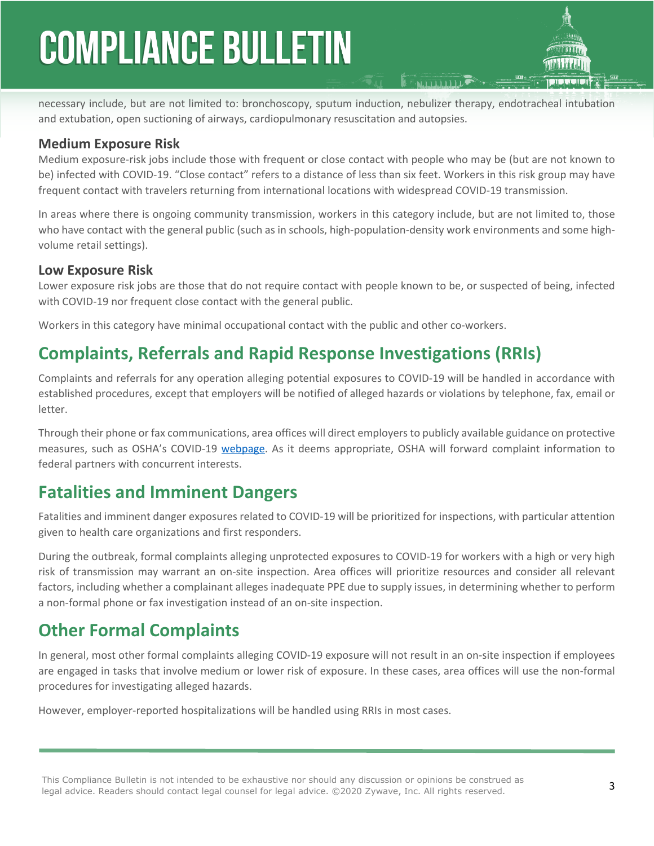necessary include, but are not limited to: bronchoscopy, sputum induction, nebulizer therapy, endotracheal intubation and extubation, open suctioning of airways, cardiopulmonary resuscitation and autopsies.

#### **Medium Exposure Risk**

Medium exposure-risk jobs include those with frequent or close contact with people who may be (but are not known to be) infected with COVID-19. "Close contact" refers to a distance of less than six feet. Workers in this risk group may have frequent contact with travelers returning from international locations with widespread COVID-19 transmission.

In areas where there is ongoing community transmission, workers in this category include, but are not limited to, those who have contact with the general public (such as in schools, high-population-density work environments and some highvolume retail settings).

#### **Low Exposure Risk**

Lower exposure risk jobs are those that do not require contact with people known to be, or suspected of being, infected with COVID-19 nor frequent close contact with the general public.

Workers in this category have minimal occupational contact with the public and other co-workers.

# **Complaints, Referrals and Rapid Response Investigations (RRIs)**

Complaints and referrals for any operation alleging potential exposures to COVID-19 will be handled in accordance with established procedures, except that employers will be notified of alleged hazards or violations by telephone, fax, email or letter.

Through their phone or fax communications, area offices will direct employers to publicly available guidance on protective measures, such as OSHA's COVID-19 [webpage](http://www.osha.gov/coronavirus). As it deems appropriate, OSHA will forward complaint information to federal partners with concurrent interests.

### **Fatalities and Imminent Dangers**

Fatalities and imminent danger exposures related to COVID-19 will be prioritized for inspections, with particular attention given to health care organizations and first responders.

During the outbreak, formal complaints alleging unprotected exposures to COVID-19 for workers with a high or very high risk of transmission may warrant an on-site inspection. Area offices will prioritize resources and consider all relevant factors, including whether a complainant alleges inadequate PPE due to supply issues, in determining whether to perform a non-formal phone or fax investigation instead of an on-site inspection.

# **Other Formal Complaints**

In general, most other formal complaints alleging COVID-19 exposure will not result in an on-site inspection if employees are engaged in tasks that involve medium or lower risk of exposure. In these cases, area offices will use the non-formal procedures for investigating alleged hazards.

However, employer-reported hospitalizations will be handled using RRIs in most cases.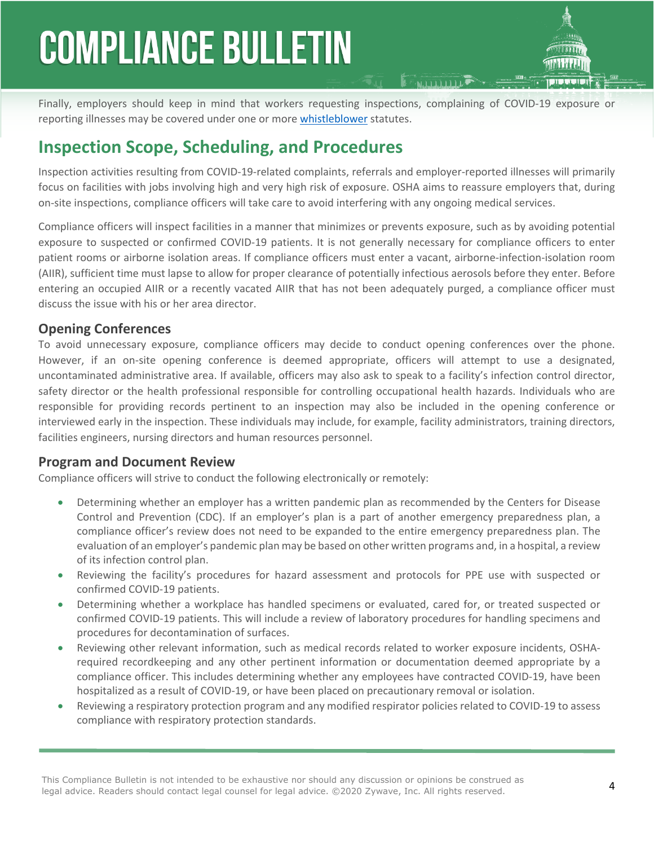Finally, employers should keep in mind that workers requesting inspections, complaining of COVID-19 exposure or reporting illnesses may be covered under one or more [whistleblower](http://www.whistleblowers.gov/) statutes.

# **Inspection Scope, Scheduling, and Procedures**

Inspection activities resulting from COVID-19-related complaints, referrals and employer-reported illnesses will primarily focus on facilities with jobs involving high and very high risk of exposure. OSHA aims to reassure employers that, during on-site inspections, compliance officers will take care to avoid interfering with any ongoing medical services.

Compliance officers will inspect facilities in a manner that minimizes or prevents exposure, such as by avoiding potential exposure to suspected or confirmed COVID-19 patients. It is not generally necessary for compliance officers to enter patient rooms or airborne isolation areas. If compliance officers must enter a vacant, airborne-infection-isolation room (AIIR), sufficient time must lapse to allow for proper clearance of potentially infectious aerosols before they enter. Before entering an occupied AIIR or a recently vacated AIIR that has not been adequately purged, a compliance officer must discuss the issue with his or her area director.

#### **Opening Conferences**

To avoid unnecessary exposure, compliance officers may decide to conduct opening conferences over the phone. However, if an on-site opening conference is deemed appropriate, officers will attempt to use a designated, uncontaminated administrative area. If available, officers may also ask to speak to a facility's infection control director, safety director or the health professional responsible for controlling occupational health hazards. Individuals who are responsible for providing records pertinent to an inspection may also be included in the opening conference or interviewed early in the inspection. These individuals may include, for example, facility administrators, training directors, facilities engineers, nursing directors and human resources personnel.

#### **Program and Document Review**

Compliance officers will strive to conduct the following electronically or remotely:

- Determining whether an employer has a written pandemic plan as recommended by the Centers for Disease Control and Prevention (CDC). If an employer's plan is a part of another emergency preparedness plan, a compliance officer's review does not need to be expanded to the entire emergency preparedness plan. The evaluation of an employer's pandemic plan may be based on other written programs and, in a hospital, a review of its infection control plan.
- Reviewing the facility's procedures for hazard assessment and protocols for PPE use with suspected or confirmed COVID-19 patients.
- Determining whether a workplace has handled specimens or evaluated, cared for, or treated suspected or confirmed COVID-19 patients. This will include a review of laboratory procedures for handling specimens and procedures for decontamination of surfaces.
- Reviewing other relevant information, such as medical records related to worker exposure incidents, OSHArequired recordkeeping and any other pertinent information or documentation deemed appropriate by a compliance officer. This includes determining whether any employees have contracted COVID-19, have been hospitalized as a result of COVID-19, or have been placed on precautionary removal or isolation.
- Reviewing a respiratory protection program and any modified respirator policies related to COVID-19 to assess compliance with respiratory protection standards.